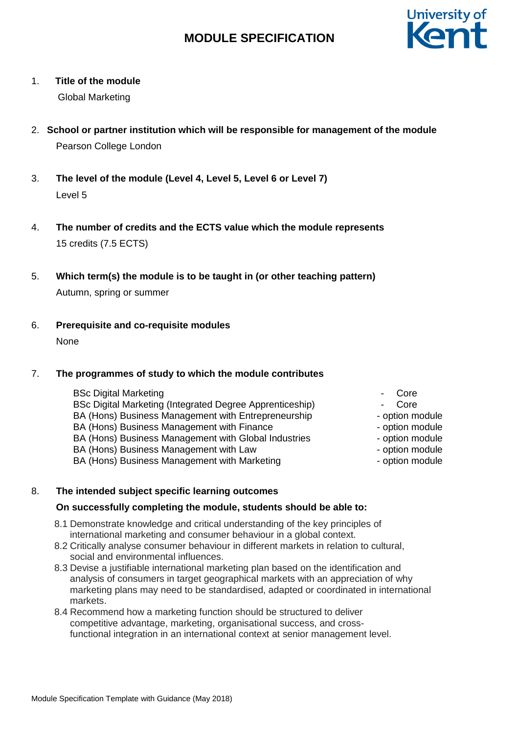# **MODULE SPECIFICATION**



### 1. **Title of the module**

Global Marketing

- 2. **School or partner institution which will be responsible for management of the module** Pearson College London
- 3. **The level of the module (Level 4, Level 5, Level 6 or Level 7)** Level 5
- 4. **The number of credits and the ECTS value which the module represents** 15 credits (7.5 ECTS)
- 5. **Which term(s) the module is to be taught in (or other teaching pattern)** Autumn, spring or summer
- 6. **Prerequisite and co-requisite modules** None

### 7. **The programmes of study to which the module contributes**

- BSc Digital Marketing BSc Digital Marketing (Integrated Degree Apprenticeship) - Core BA (Hons) Business Management with Entrepreneurship BA (Hons) Business Management with Finance BA (Hons) Business Management with Global Industries BA (Hons) Business Management with Law Figure 2012 - option module BA (Hons) Business Management with Marketing Fig. 2016 - option module
	- Core
	- Core<br>- option module
	-
	- option module
	- option module
	-
	-

### 8. **The intended subject specific learning outcomes**

### **On successfully completing the module, students should be able to:**

- 8.1 Demonstrate knowledge and critical understanding of the key principles of international marketing and consumer behaviour in a global context.
- 8.2 Critically analyse consumer behaviour in different markets in relation to cultural, social and environmental influences.
- 8.3 Devise a justifiable international marketing plan based on the identification and analysis of consumers in target geographical markets with an appreciation of why marketing plans may need to be standardised, adapted or coordinated in international markets.
- 8.4 Recommend how a marketing function should be structured to deliver competitive advantage, marketing, organisational success, and crossfunctional integration in an international context at senior management level.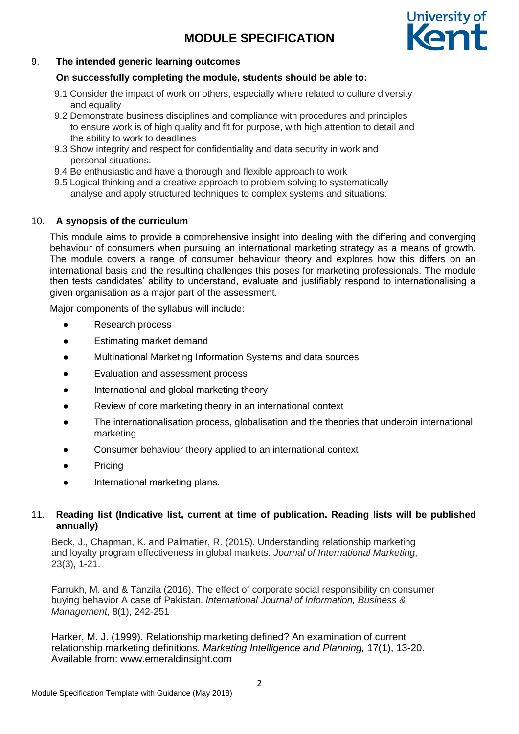# **MODULE SPECIFICATION**



### 9. **The intended generic learning outcomes**

### **On successfully completing the module, students should be able to:**

- 9.1 Consider the impact of work on others, especially where related to culture diversity and equality
- 9.2 Demonstrate business disciplines and compliance with procedures and principles to ensure work is of high quality and fit for purpose, with high attention to detail and the ability to work to deadlines
- 9.3 Show integrity and respect for confidentiality and data security in work and personal situations.
- 9.4 Be enthusiastic and have a thorough and flexible approach to work
- 9.5 Logical thinking and a creative approach to problem solving to systematically analyse and apply structured techniques to complex systems and situations.

### 10. **A synopsis of the curriculum**

This module aims to provide a comprehensive insight into dealing with the differing and converging behaviour of consumers when pursuing an international marketing strategy as a means of growth. The module covers a range of consumer behaviour theory and explores how this differs on an international basis and the resulting challenges this poses for marketing professionals. The module then tests candidates' ability to understand, evaluate and justifiably respond to internationalising a given organisation as a major part of the assessment.

Major components of the syllabus will include:

- **Research process**
- Estimating market demand
- Multinational Marketing Information Systems and data sources
- Evaluation and assessment process
- International and global marketing theory
- Review of core marketing theory in an international context
- The internationalisation process, globalisation and the theories that underpin international marketing
- Consumer behaviour theory applied to an international context
- Pricing
- International marketing plans.

### 11. **Reading list (Indicative list, current at time of publication. Reading lists will be published annually)**

Beck, J., Chapman, K. and Palmatier, R. (2015). Understanding relationship marketing and loyalty program effectiveness in global markets. *Journal of International Marketing*, 23(3), 1-21.

Farrukh, M. and & Tanzila (2016). The effect of corporate social responsibility on consumer buying behavior A case of Pakistan. *International Journal of Information, Business & Management*, 8(1), 242-251

Harker, M. J. (1999). Relationship marketing defined? An examination of current relationship marketing definitions. *Marketing Intelligence and Planning,* 17(1), 13-20. Available from: www.emeraldinsight.com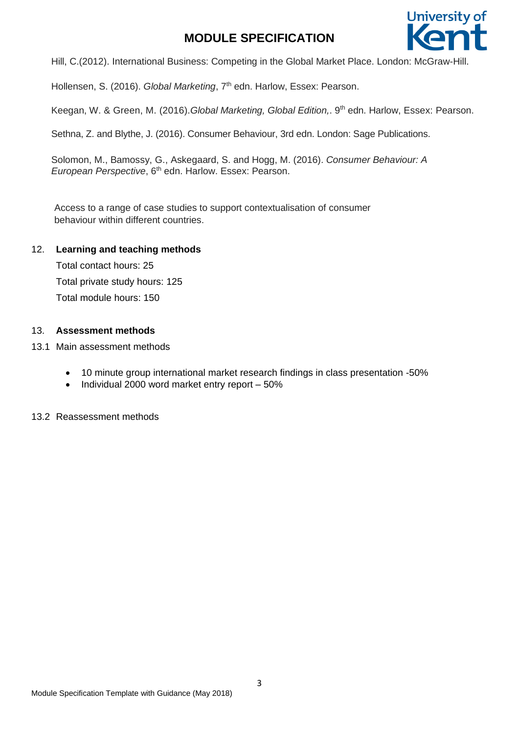## **MODULE SPECIFICATION**



Hill, C.(2012). International Business: Competing in the Global Market Place. London: McGraw-Hill.

Hollensen, S. (2016). Global Marketing, 7<sup>th</sup> edn. Harlow, Essex: Pearson.

Keegan, W. & Green, M. (2016).*Global Marketing, Global Edition,*. 9 th edn. Harlow, Essex: Pearson.

Sethna, Z. and Blythe, J. (2016). Consumer Behaviour, 3rd edn. London: Sage Publications.

Solomon, M., Bamossy, G., Askegaard, S. and Hogg, M. (2016). *Consumer Behaviour: A European Perspective*, 6<sup>th</sup> edn. Harlow. Essex: Pearson.

Access to a range of case studies to support contextualisation of consumer behaviour within different countries.

### 12. **Learning and teaching methods**

Total contact hours: 25 Total private study hours: 125 Total module hours: 150

### 13. **Assessment methods**

- 13.1 Main assessment methods
	- 10 minute group international market research findings in class presentation -50%
	- Individual 2000 word market entry report 50%

13.2 Reassessment methods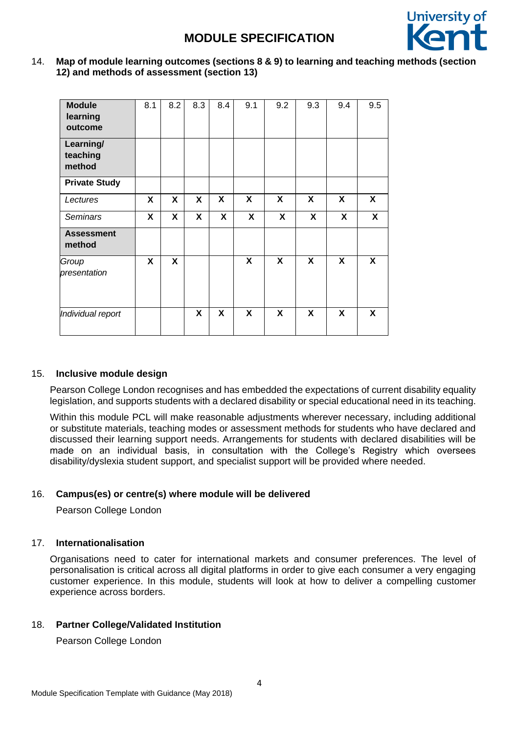

14. **Map of module learning outcomes (sections 8 & 9) to learning and teaching methods (section 12) and methods of assessment (section 13)**

| <b>Module</b><br>learning<br>outcome | 8.1 | 8.2 | 8.3 | 8.4 | 9.1          | 9.2 | 9.3 | 9.4                       | 9.5          |
|--------------------------------------|-----|-----|-----|-----|--------------|-----|-----|---------------------------|--------------|
| Learning/<br>teaching<br>method      |     |     |     |     |              |     |     |                           |              |
| <b>Private Study</b>                 |     |     |     |     |              |     |     |                           |              |
| Lectures                             | X   | X   | X   | X   | $\mathsf{x}$ | X   | X   | X                         | $\mathsf{x}$ |
| <b>Seminars</b>                      | X   | X   | X   | X   | X            | X   | X   | $\boldsymbol{\mathsf{X}}$ | X            |
| <b>Assessment</b><br>method          |     |     |     |     |              |     |     |                           |              |
| Group<br>presentation                | X   | X   |     |     | X            | X   | X   | X                         | X            |
| Individual report                    |     |     | X   | X   | X            | X   | X   | X                         | X            |

### 15. **Inclusive module design**

Pearson College London recognises and has embedded the expectations of current disability equality legislation, and supports students with a declared disability or special educational need in its teaching.

Within this module PCL will make reasonable adjustments wherever necessary, including additional or substitute materials, teaching modes or assessment methods for students who have declared and discussed their learning support needs. Arrangements for students with declared disabilities will be made on an individual basis, in consultation with the College's Registry which oversees disability/dyslexia student support, and specialist support will be provided where needed.

### 16. **Campus(es) or centre(s) where module will be delivered**

Pearson College London

### 17. **Internationalisation**

Organisations need to cater for international markets and consumer preferences. The level of personalisation is critical across all digital platforms in order to give each consumer a very engaging customer experience. In this module, students will look at how to deliver a compelling customer experience across borders.

### 18. **Partner College/Validated Institution**

Pearson College London